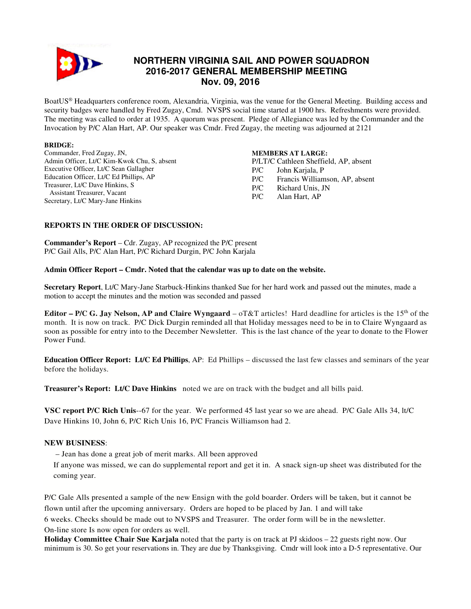

# **NORTHERN VIRGINIA SAIL AND POWER SQUADRON 2016-2017 GENERAL MEMBERSHIP MEETING Nov. 09, 2016**

BoatUS® Headquarters conference room, Alexandria, Virginia, was the venue for the General Meeting. Building access and security badges were handled by Fred Zugay, Cmd. NVSPS social time started at 1900 hrs. Refreshments were provided. The meeting was called to order at 1935. A quorum was present. Pledge of Allegiance was led by the Commander and the Invocation by P/C Alan Hart, AP. Our speaker was Cmdr. Fred Zugay, the meeting was adjourned at 2121

#### **BRIDGE:**

Commander, Fred Zugay, JN, Admin Officer, Lt/C Kim-Kwok Chu, S, absent Executive Officer, Lt/C Sean Gallagher Education Officer, Lt/C Ed Phillips, AP Treasurer, Lt/C Dave Hinkins, S Assistant Treasurer, Vacant Secretary, Lt/C Mary-Jane Hinkins

## **MEMBERS AT LARGE:**

P/LT/C Cathleen Sheffield, AP, absent P/C John Karjala, P P/C Francis Williamson, AP, absent P/C Richard Unis, JN P/C Alan Hart, AP

## **REPORTS IN THE ORDER OF DISCUSSION:**

**Commander's Report** – Cdr. Zugay, AP recognized the P/C present P/C Gail Alls, P/C Alan Hart, P/C Richard Durgin, P/C John Karjala

#### **Admin Officer Report – Cmdr. Noted that the calendar was up to date on the website.**

**Secretary Report**, Lt/C Mary-Jane Starbuck-Hinkins thanked Sue for her hard work and passed out the minutes, made a motion to accept the minutes and the motion was seconded and passed

**Editor – P/C G. Jay Nelson, AP and Claire Wyngaard** – oT&T articles! Hard deadline for articles is the 15th of the month. It is now on track. P/C Dick Durgin reminded all that Holiday messages need to be in to Claire Wyngaard as soon as possible for entry into to the December Newsletter. This is the last chance of the year to donate to the Flower Power Fund.

**Education Officer Report: Lt/C Ed Phillips**, AP: Ed Phillips – discussed the last few classes and seminars of the year before the holidays.

**Treasurer's Report: Lt/C Dave Hinkins** noted we are on track with the budget and all bills paid.

**VSC report P/C Rich Unis**--67 for the year. We performed 45 last year so we are ahead. P/C Gale Alls 34, lt/C Dave Hinkins 10, John 6, P/C Rich Unis 16, P/C Francis Williamson had 2.

## **NEW BUSINESS**:

– Jean has done a great job of merit marks. All been approved

If anyone was missed, we can do supplemental report and get it in. A snack sign-up sheet was distributed for the coming year.

P/C Gale Alls presented a sample of the new Ensign with the gold boarder. Orders will be taken, but it cannot be flown until after the upcoming anniversary. Orders are hoped to be placed by Jan. 1 and will take

6 weeks. Checks should be made out to NVSPS and Treasurer. The order form will be in the newsletter. On-line store Is now open for orders as well.

**Holiday Committee Chair Sue Karjala** noted that the party is on track at PJ skidoos – 22 guests right now. Our minimum is 30. So get your reservations in. They are due by Thanksgiving. Cmdr will look into a D-5 representative. Our